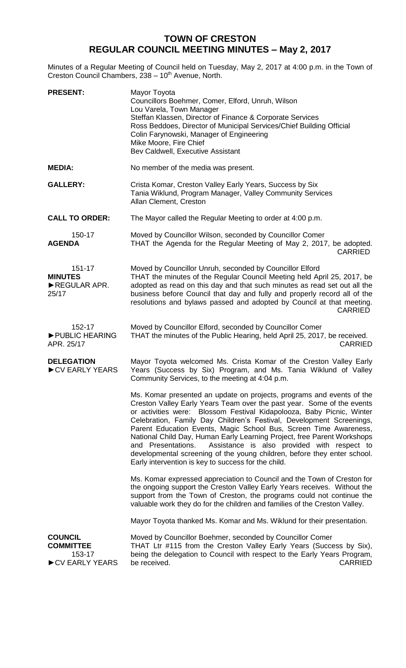## **TOWN OF CRESTON REGULAR COUNCIL MEETING MINUTES – May 2, 2017**

Minutes of a Regular Meeting of Council held on Tuesday, May 2, 2017 at 4:00 p.m. in the Town of Creston Council Chambers, 238 - 10<sup>th</sup> Avenue, North.

| <b>PRESENT:</b>                                                | Mayor Toyota<br>Councillors Boehmer, Comer, Elford, Unruh, Wilson<br>Lou Varela, Town Manager<br>Steffan Klassen, Director of Finance & Corporate Services<br>Ross Beddoes, Director of Municipal Services/Chief Building Official<br>Colin Farynowski, Manager of Engineering<br>Mike Moore, Fire Chief<br>Bev Caldwell, Executive Assistant                                                                                                                                                                                                                                                                                                            |
|----------------------------------------------------------------|----------------------------------------------------------------------------------------------------------------------------------------------------------------------------------------------------------------------------------------------------------------------------------------------------------------------------------------------------------------------------------------------------------------------------------------------------------------------------------------------------------------------------------------------------------------------------------------------------------------------------------------------------------|
| <b>MEDIA:</b>                                                  | No member of the media was present.                                                                                                                                                                                                                                                                                                                                                                                                                                                                                                                                                                                                                      |
| <b>GALLERY:</b>                                                | Crista Komar, Creston Valley Early Years, Success by Six<br>Tania Wiklund, Program Manager, Valley Community Services<br>Allan Clement, Creston                                                                                                                                                                                                                                                                                                                                                                                                                                                                                                          |
| <b>CALL TO ORDER:</b>                                          | The Mayor called the Regular Meeting to order at 4:00 p.m.                                                                                                                                                                                                                                                                                                                                                                                                                                                                                                                                                                                               |
| 150-17<br><b>AGENDA</b>                                        | Moved by Councillor Wilson, seconded by Councillor Comer<br>THAT the Agenda for the Regular Meeting of May 2, 2017, be adopted.<br><b>CARRIED</b>                                                                                                                                                                                                                                                                                                                                                                                                                                                                                                        |
| 151-17<br><b>MINUTES</b><br>REGULAR APR.<br>25/17              | Moved by Councillor Unruh, seconded by Councillor Elford<br>THAT the minutes of the Regular Council Meeting held April 25, 2017, be<br>adopted as read on this day and that such minutes as read set out all the<br>business before Council that day and fully and properly record all of the<br>resolutions and bylaws passed and adopted by Council at that meeting.<br>CARRIED                                                                                                                                                                                                                                                                        |
| 152-17<br>PUBLIC HEARING<br>APR. 25/17                         | Moved by Councillor Elford, seconded by Councillor Comer<br>THAT the minutes of the Public Hearing, held April 25, 2017, be received.<br><b>CARRIED</b>                                                                                                                                                                                                                                                                                                                                                                                                                                                                                                  |
| <b>DELEGATION</b><br>CV EARLY YEARS                            | Mayor Toyota welcomed Ms. Crista Komar of the Creston Valley Early<br>Years (Success by Six) Program, and Ms. Tania Wiklund of Valley<br>Community Services, to the meeting at 4:04 p.m.                                                                                                                                                                                                                                                                                                                                                                                                                                                                 |
|                                                                | Ms. Komar presented an update on projects, programs and events of the<br>Creston Valley Early Years Team over the past year. Some of the events<br>or activities were: Blossom Festival Kidapolooza, Baby Picnic, Winter<br>Celebration, Family Day Children's Festival, Development Screenings,<br>Parent Education Events, Magic School Bus, Screen Time Awareness,<br>National Child Day, Human Early Learning Project, free Parent Workshops<br>Assistance is also provided with respect to<br>and Presentations.<br>developmental screening of the young children, before they enter school.<br>Early intervention is key to success for the child. |
|                                                                | Ms. Komar expressed appreciation to Council and the Town of Creston for<br>the ongoing support the Creston Valley Early Years receives. Without the<br>support from the Town of Creston, the programs could not continue the<br>valuable work they do for the children and families of the Creston Valley.                                                                                                                                                                                                                                                                                                                                               |
|                                                                | Mayor Toyota thanked Ms. Komar and Ms. Wiklund for their presentation.                                                                                                                                                                                                                                                                                                                                                                                                                                                                                                                                                                                   |
| <b>COUNCIL</b><br><b>COMMITTEE</b><br>153-17<br>CV EARLY YEARS | Moved by Councillor Boehmer, seconded by Councillor Comer<br>THAT Ltr #115 from the Creston Valley Early Years (Success by Six),<br>being the delegation to Council with respect to the Early Years Program,<br>be received.<br><b>CARRIED</b>                                                                                                                                                                                                                                                                                                                                                                                                           |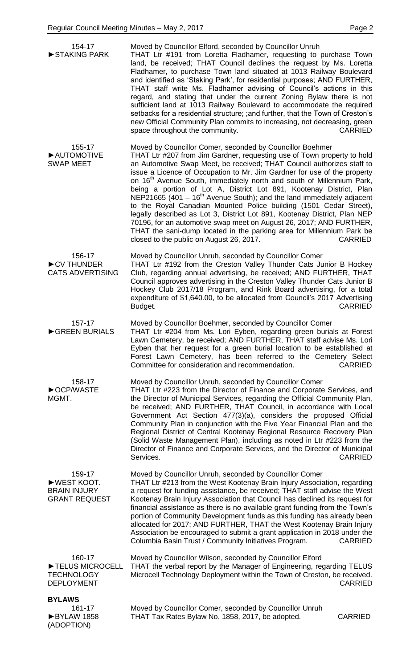| 154-17<br>STAKING PARK                                               | Moved by Councillor Elford, seconded by Councillor Unruh<br>THAT Ltr #191 from Loretta Fladhamer, requesting to purchase Town<br>land, be received; THAT Council declines the request by Ms. Loretta<br>Fladhamer, to purchase Town land situated at 1013 Railway Boulevard<br>and identified as 'Staking Park', for residential purposes; AND FURTHER,<br>THAT staff write Ms. Fladhamer advising of Council's actions in this<br>regard, and stating that under the current Zoning Bylaw there is not<br>sufficient land at 1013 Railway Boulevard to accommodate the required<br>setbacks for a residential structure; ; and further, that the Town of Creston's<br>new Official Community Plan commits to increasing, not decreasing, green<br>space throughout the community.<br><b>CARRIED</b>                                                                                               |
|----------------------------------------------------------------------|----------------------------------------------------------------------------------------------------------------------------------------------------------------------------------------------------------------------------------------------------------------------------------------------------------------------------------------------------------------------------------------------------------------------------------------------------------------------------------------------------------------------------------------------------------------------------------------------------------------------------------------------------------------------------------------------------------------------------------------------------------------------------------------------------------------------------------------------------------------------------------------------------|
| 155-17<br>AUTOMOTIVE<br><b>SWAP MEET</b>                             | Moved by Councillor Comer, seconded by Councillor Boehmer<br>THAT Ltr #207 from Jim Gardner, requesting use of Town property to hold<br>an Automotive Swap Meet, be received; THAT Council authorizes staff to<br>issue a Licence of Occupation to Mr. Jim Gardner for use of the property<br>on 16 <sup>th</sup> Avenue South, immediately north and south of Millennium Park,<br>being a portion of Lot A, District Lot 891, Kootenay District, Plan<br>NEP21665 (401 - $16th$ Avenue South); and the land immediately adjacent<br>to the Royal Canadian Mounted Police building (1501 Cedar Street),<br>legally described as Lot 3, District Lot 891, Kootenay District, Plan NEP<br>70196, for an automotive swap meet on August 26, 2017; AND FURTHER,<br>THAT the sani-dump located in the parking area for Millennium Park be<br>closed to the public on August 26, 2017.<br><b>CARRIED</b> |
| 156-17<br>CV THUNDER<br><b>CATS ADVERTISING</b>                      | Moved by Councillor Unruh, seconded by Councillor Comer<br>THAT Ltr #192 from the Creston Valley Thunder Cats Junior B Hockey<br>Club, regarding annual advertising, be received; AND FURTHER, THAT<br>Council approves advertising in the Creston Valley Thunder Cats Junior B<br>Hockey Club 2017/18 Program, and Rink Board advertising, for a total<br>expenditure of \$1,640.00, to be allocated from Council's 2017 Advertising<br>Budget.<br><b>CARRIED</b>                                                                                                                                                                                                                                                                                                                                                                                                                                 |
| 157-17<br>GREEN BURIALS                                              | Moved by Councillor Boehmer, seconded by Councillor Comer<br>THAT Ltr #204 from Ms. Lori Eyben, regarding green burials at Forest<br>Lawn Cemetery, be received; AND FURTHER, THAT staff advise Ms. Lori<br>Eyben that her request for a green burial location to be established at<br>Forest Lawn Cemetery, has been referred to the Cemetery Select<br>Committee for consideration and recommendation.<br><b>CARRIED</b>                                                                                                                                                                                                                                                                                                                                                                                                                                                                         |
| 158-17<br>▶OCP/WASTE<br>MGMT.                                        | Moved by Councillor Unruh, seconded by Councillor Comer<br>THAT Ltr #223 from the Director of Finance and Corporate Services, and<br>the Director of Municipal Services, regarding the Official Community Plan,<br>be received; AND FURTHER, THAT Council, in accordance with Local<br>Government Act Section 477(3)(a), considers the proposed Official<br>Community Plan in conjunction with the Five Year Financial Plan and the<br>Regional District of Central Kootenay Regional Resource Recovery Plan<br>(Solid Waste Management Plan), including as noted in Ltr #223 from the<br>Director of Finance and Corporate Services, and the Director of Municipal<br>Services.<br><b>CARRIED</b>                                                                                                                                                                                                 |
| 159-17<br>▶WEST KOOT.<br><b>BRAIN INJURY</b><br><b>GRANT REQUEST</b> | Moved by Councillor Unruh, seconded by Councillor Comer<br>THAT Ltr #213 from the West Kootenay Brain Injury Association, regarding<br>a request for funding assistance, be received; THAT staff advise the West<br>Kootenay Brain Injury Association that Council has declined its request for<br>financial assistance as there is no available grant funding from the Town's<br>portion of Community Development funds as this funding has already been<br>allocated for 2017; AND FURTHER, THAT the West Kootenay Brain Injury<br>Association be encouraged to submit a grant application in 2018 under the<br>Columbia Basin Trust / Community Initiatives Program.<br><b>CARRIED</b>                                                                                                                                                                                                          |
| 160-17<br>TELUS MICROCELL<br><b>TECHNOLOGY</b><br><b>DEPLOYMENT</b>  | Moved by Councillor Wilson, seconded by Councillor Elford<br>THAT the verbal report by the Manager of Engineering, regarding TELUS<br>Microcell Technology Deployment within the Town of Creston, be received.<br><b>CARRIED</b>                                                                                                                                                                                                                                                                                                                                                                                                                                                                                                                                                                                                                                                                   |
| <b>BYLAWS</b><br>161-17<br>BYLAW 1858<br>(ADOPTION)                  | Moved by Councillor Comer, seconded by Councillor Unruh<br>THAT Tax Rates Bylaw No. 1858, 2017, be adopted.<br><b>CARRIED</b>                                                                                                                                                                                                                                                                                                                                                                                                                                                                                                                                                                                                                                                                                                                                                                      |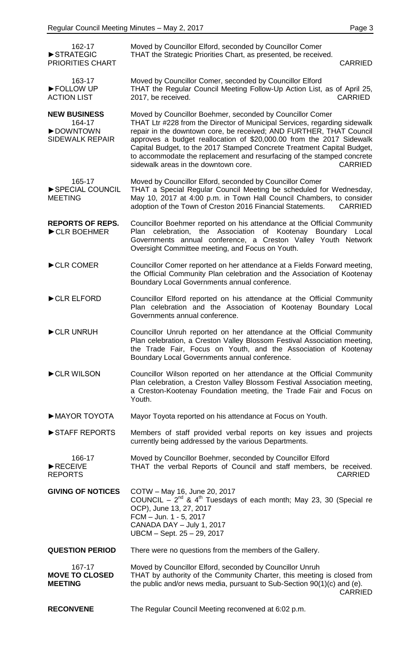| 162-17<br>STRATEGIC<br>PRIORITIES CHART                             | Moved by Councillor Elford, seconded by Councillor Comer<br>THAT the Strategic Priorities Chart, as presented, be received.<br><b>CARRIED</b>                                                                                                                                                                                                                                                                                                                                                       |
|---------------------------------------------------------------------|-----------------------------------------------------------------------------------------------------------------------------------------------------------------------------------------------------------------------------------------------------------------------------------------------------------------------------------------------------------------------------------------------------------------------------------------------------------------------------------------------------|
| 163-17<br>FOLLOW UP<br><b>ACTION LIST</b>                           | Moved by Councillor Comer, seconded by Councillor Elford<br>THAT the Regular Council Meeting Follow-Up Action List, as of April 25,<br>2017, be received.<br><b>CARRIED</b>                                                                                                                                                                                                                                                                                                                         |
| <b>NEW BUSINESS</b><br>164-17<br>DOWNTOWN<br><b>SIDEWALK REPAIR</b> | Moved by Councillor Boehmer, seconded by Councillor Comer<br>THAT Ltr #228 from the Director of Municipal Services, regarding sidewalk<br>repair in the downtown core, be received; AND FURTHER, THAT Council<br>approves a budget reallocation of \$20,000.00 from the 2017 Sidewalk<br>Capital Budget, to the 2017 Stamped Concrete Treatment Capital Budget,<br>to accommodate the replacement and resurfacing of the stamped concrete<br>sidewalk areas in the downtown core.<br><b>CARRIED</b> |
| 165-17<br>SPECIAL COUNCIL<br><b>MEETING</b>                         | Moved by Councillor Elford, seconded by Councillor Comer<br>THAT a Special Regular Council Meeting be scheduled for Wednesday,<br>May 10, 2017 at 4:00 p.m. in Town Hall Council Chambers, to consider<br>adoption of the Town of Creston 2016 Financial Statements.<br><b>CARRIED</b>                                                                                                                                                                                                              |
| <b>REPORTS OF REPS.</b><br>CLR BOEHMER                              | Councillor Boehmer reported on his attendance at the Official Community<br>the Association of Kootenay Boundary Local<br>celebration,<br>Plan<br>Governments annual conference, a Creston Valley Youth Network<br>Oversight Committee meeting, and Focus on Youth.                                                                                                                                                                                                                                  |
| CLR COMER                                                           | Councillor Comer reported on her attendance at a Fields Forward meeting,<br>the Official Community Plan celebration and the Association of Kootenay<br>Boundary Local Governments annual conference.                                                                                                                                                                                                                                                                                                |
| CLR ELFORD                                                          | Councillor Elford reported on his attendance at the Official Community<br>Plan celebration and the Association of Kootenay Boundary Local<br>Governments annual conference.                                                                                                                                                                                                                                                                                                                         |
| CLR UNRUH                                                           | Councillor Unruh reported on her attendance at the Official Community<br>Plan celebration, a Creston Valley Blossom Festival Association meeting,<br>the Trade Fair, Focus on Youth, and the Association of Kootenay<br>Boundary Local Governments annual conference.                                                                                                                                                                                                                               |
| CLR WILSON                                                          | Councillor Wilson reported on her attendance at the Official Community<br>Plan celebration, a Creston Valley Blossom Festival Association meeting,<br>a Creston-Kootenay Foundation meeting, the Trade Fair and Focus on<br>Youth.                                                                                                                                                                                                                                                                  |
| MAYOR TOYOTA                                                        | Mayor Toyota reported on his attendance at Focus on Youth.                                                                                                                                                                                                                                                                                                                                                                                                                                          |
| STAFF REPORTS                                                       | Members of staff provided verbal reports on key issues and projects<br>currently being addressed by the various Departments.                                                                                                                                                                                                                                                                                                                                                                        |
| 166-17<br>RECEIVE<br><b>REPORTS</b>                                 | Moved by Councillor Boehmer, seconded by Councillor Elford<br>THAT the verbal Reports of Council and staff members, be received.<br><b>CARRIED</b>                                                                                                                                                                                                                                                                                                                                                  |
| <b>GIVING OF NOTICES</b>                                            | COTW - May 16, June 20, 2017<br>COUNCIL - $2^{nd}$ & 4 <sup>th</sup> Tuesdays of each month; May 23, 30 (Special re<br>OCP), June 13, 27, 2017<br>FCM - Jun. 1 - 5, 2017<br>CANADA DAY - July 1, 2017<br>UBCM - Sept. 25 - 29, 2017                                                                                                                                                                                                                                                                 |
| <b>QUESTION PERIOD</b>                                              | There were no questions from the members of the Gallery.                                                                                                                                                                                                                                                                                                                                                                                                                                            |
| 167-17<br><b>MOVE TO CLOSED</b><br><b>MEETING</b>                   | Moved by Councillor Elford, seconded by Councillor Unruh<br>THAT by authority of the Community Charter, this meeting is closed from<br>the public and/or news media, pursuant to Sub-Section 90(1)(c) and (e).<br><b>CARRIED</b>                                                                                                                                                                                                                                                                    |
| <b>RECONVENE</b>                                                    | The Regular Council Meeting reconvened at 6:02 p.m.                                                                                                                                                                                                                                                                                                                                                                                                                                                 |